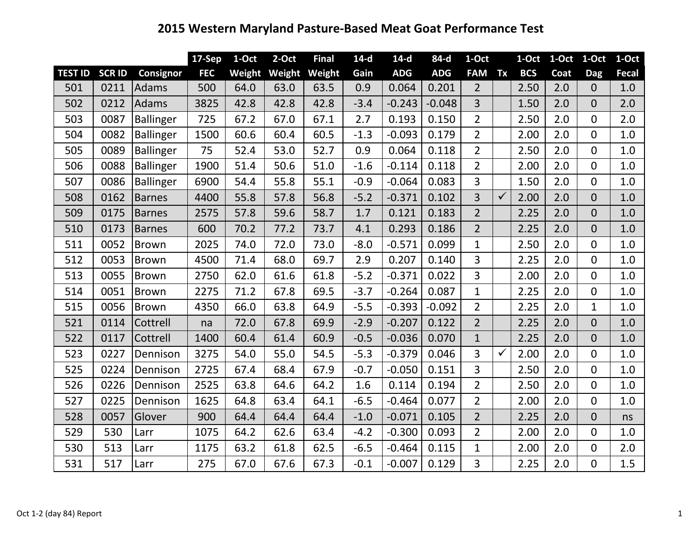## **2015 Western Maryland Pasture‐Based Meat Goat Performance Test**

|                |               |                  | <b>17-Sep</b> | 1-Oct  | $2-Oct$ | <b>Final</b> | $14-d$ | $14-d$     | 84-d       | 1-Oct          |              | 1-Oct      | $1-Oct$ $1-Oct$ |                | $1-Oct$ |
|----------------|---------------|------------------|---------------|--------|---------|--------------|--------|------------|------------|----------------|--------------|------------|-----------------|----------------|---------|
| <b>TEST ID</b> | <b>SCR ID</b> | <b>Consignor</b> | <b>FEC</b>    | Weight | Weight  | Weight       | Gain   | <b>ADG</b> | <b>ADG</b> | <b>FAM</b>     | Tx           | <b>BCS</b> | Coat            | <b>Dag</b>     | Fecal   |
| 501            | 0211          | Adams            | 500           | 64.0   | 63.0    | 63.5         | 0.9    | 0.064      | 0.201      | $\overline{2}$ |              | 2.50       | 2.0             | $\overline{0}$ | 1.0     |
| 502            | 0212          | <b>Adams</b>     | 3825          | 42.8   | 42.8    | 42.8         | $-3.4$ | $-0.243$   | $-0.048$   | $\overline{3}$ |              | 1.50       | 2.0             | $\overline{0}$ | 2.0     |
| 503            | 0087          | Ballinger        | 725           | 67.2   | 67.0    | 67.1         | 2.7    | 0.193      | 0.150      | $\overline{2}$ |              | 2.50       | 2.0             | $\overline{0}$ | 2.0     |
| 504            | 0082          | Ballinger        | 1500          | 60.6   | 60.4    | 60.5         | $-1.3$ | $-0.093$   | 0.179      | $\overline{2}$ |              | 2.00       | 2.0             | $\overline{0}$ | 1.0     |
| 505            | 0089          | Ballinger        | 75            | 52.4   | 53.0    | 52.7         | 0.9    | 0.064      | 0.118      | $\overline{2}$ |              | 2.50       | 2.0             | $\mathbf 0$    | 1.0     |
| 506            | 0088          | Ballinger        | 1900          | 51.4   | 50.6    | 51.0         | $-1.6$ | $-0.114$   | 0.118      | $\overline{2}$ |              | 2.00       | 2.0             | $\overline{0}$ | 1.0     |
| 507            | 0086          | Ballinger        | 6900          | 54.4   | 55.8    | 55.1         | $-0.9$ | $-0.064$   | 0.083      | 3              |              | 1.50       | 2.0             | $\overline{0}$ | 1.0     |
| 508            | 0162          | <b>Barnes</b>    | 4400          | 55.8   | 57.8    | 56.8         | $-5.2$ | $-0.371$   | 0.102      | 3              | $\checkmark$ | 2.00       | 2.0             | $\mathbf{0}$   | 1.0     |
| 509            | 0175          | <b>Barnes</b>    | 2575          | 57.8   | 59.6    | 58.7         | 1.7    | 0.121      | 0.183      | $\overline{2}$ |              | 2.25       | 2.0             | $\overline{0}$ | 1.0     |
| 510            | 0173          | <b>Barnes</b>    | 600           | 70.2   | 77.2    | 73.7         | 4.1    | 0.293      | 0.186      | $\overline{2}$ |              | 2.25       | 2.0             | $\overline{0}$ | 1.0     |
| 511            | 0052          | <b>Brown</b>     | 2025          | 74.0   | 72.0    | 73.0         | $-8.0$ | $-0.571$   | 0.099      | 1              |              | 2.50       | 2.0             | $\overline{0}$ | 1.0     |
| 512            | 0053          | Brown            | 4500          | 71.4   | 68.0    | 69.7         | 2.9    | 0.207      | 0.140      | 3              |              | 2.25       | 2.0             | $\mathbf 0$    | 1.0     |
| 513            | 0055          | <b>Brown</b>     | 2750          | 62.0   | 61.6    | 61.8         | $-5.2$ | $-0.371$   | 0.022      | 3              |              | 2.00       | 2.0             | $\overline{0}$ | 1.0     |
| 514            | 0051          | Brown            | 2275          | 71.2   | 67.8    | 69.5         | $-3.7$ | $-0.264$   | 0.087      | $\mathbf{1}$   |              | 2.25       | 2.0             | $\overline{0}$ | 1.0     |
| 515            | 0056          | <b>Brown</b>     | 4350          | 66.0   | 63.8    | 64.9         | $-5.5$ | $-0.393$   | $-0.092$   | $\overline{2}$ |              | 2.25       | 2.0             | $\mathbf{1}$   | 1.0     |
| 521            | 0114          | Cottrell         | na            | 72.0   | 67.8    | 69.9         | $-2.9$ | $-0.207$   | 0.122      | $\overline{2}$ |              | 2.25       | 2.0             | $\overline{0}$ | 1.0     |
| 522            | 0117          | Cottrell         | 1400          | 60.4   | 61.4    | 60.9         | $-0.5$ | $-0.036$   | 0.070      | $\mathbf{1}$   |              | 2.25       | 2.0             | $\mathbf 0$    | 1.0     |
| 523            | 0227          | Dennison         | 3275          | 54.0   | 55.0    | 54.5         | $-5.3$ | $-0.379$   | 0.046      | 3              | $\checkmark$ | 2.00       | 2.0             | $\overline{0}$ | 1.0     |
| 525            | 0224          | Dennison         | 2725          | 67.4   | 68.4    | 67.9         | $-0.7$ | $-0.050$   | 0.151      | 3              |              | 2.50       | 2.0             | $\mathbf 0$    | 1.0     |
| 526            | 0226          | Dennison         | 2525          | 63.8   | 64.6    | 64.2         | 1.6    | 0.114      | 0.194      | $\overline{2}$ |              | 2.50       | 2.0             | $\Omega$       | 1.0     |
| 527            | 0225          | Dennison         | 1625          | 64.8   | 63.4    | 64.1         | $-6.5$ | $-0.464$   | 0.077      | $\overline{2}$ |              | 2.00       | 2.0             | $\mathbf 0$    | 1.0     |
| 528            | 0057          | Glover           | 900           | 64.4   | 64.4    | 64.4         | $-1.0$ | $-0.071$   | 0.105      | $\overline{2}$ |              | 2.25       | 2.0             | $\mathbf 0$    | ns      |
| 529            | 530           | Larr             | 1075          | 64.2   | 62.6    | 63.4         | $-4.2$ | $-0.300$   | 0.093      | $\overline{2}$ |              | 2.00       | 2.0             | $\overline{0}$ | 1.0     |
| 530            | 513           | Larr             | 1175          | 63.2   | 61.8    | 62.5         | $-6.5$ | $-0.464$   | 0.115      | $\mathbf{1}$   |              | 2.00       | 2.0             | $\overline{0}$ | 2.0     |
| 531            | 517           | Larr             | 275           | 67.0   | 67.6    | 67.3         | $-0.1$ | $-0.007$   | 0.129      | 3              |              | 2.25       | 2.0             | $\overline{0}$ | 1.5     |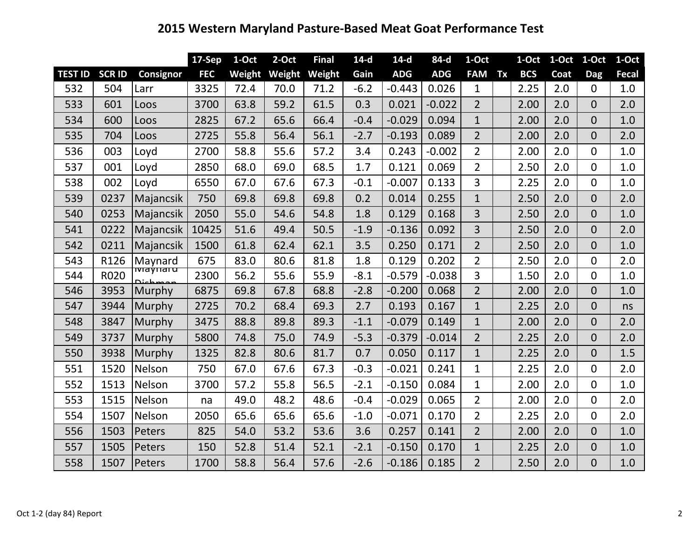## **Western Maryland Pasture‐Based Meat Goat Performance Test**

|                |               |                                    | $17-Sep$   | 1-Oct  | 2-Oct  | <b>Final</b> | $14-d$ | $14-d$     | 84-d       | 1-Oct          |    | 1-Oct      | 1-Oct | 1-Oct          | 1-Oct |
|----------------|---------------|------------------------------------|------------|--------|--------|--------------|--------|------------|------------|----------------|----|------------|-------|----------------|-------|
| <b>TEST ID</b> | <b>SCR ID</b> | <b>Consignor</b>                   | <b>FEC</b> | Weight | Weight | Weight       | Gain   | <b>ADG</b> | <b>ADG</b> | <b>FAM</b>     | Tx | <b>BCS</b> | Coat  | Dag            | Fecal |
| 532            | 504           | Larr                               | 3325       | 72.4   | 70.0   | 71.2         | $-6.2$ | $-0.443$   | 0.026      | $\mathbf{1}$   |    | 2.25       | 2.0   | $\mathbf{0}$   | 1.0   |
| 533            | 601           | Loos                               | 3700       | 63.8   | 59.2   | 61.5         | 0.3    | 0.021      | $-0.022$   | $\overline{2}$ |    | 2.00       | 2.0   | $\overline{0}$ | 2.0   |
| 534            | 600           | Loos                               | 2825       | 67.2   | 65.6   | 66.4         | $-0.4$ | $-0.029$   | 0.094      | $\mathbf{1}$   |    | 2.00       | 2.0   | $\overline{0}$ | 1.0   |
| 535            | 704           | Loos                               | 2725       | 55.8   | 56.4   | 56.1         | $-2.7$ | $-0.193$   | 0.089      | $\overline{2}$ |    | 2.00       | 2.0   | $\overline{0}$ | 2.0   |
| 536            | 003           | Loyd                               | 2700       | 58.8   | 55.6   | 57.2         | 3.4    | 0.243      | $-0.002$   | $\overline{2}$ |    | 2.00       | 2.0   | $\overline{0}$ | 1.0   |
| 537            | 001           | Loyd                               | 2850       | 68.0   | 69.0   | 68.5         | 1.7    | 0.121      | 0.069      | $\overline{2}$ |    | 2.50       | 2.0   | $\Omega$       | 1.0   |
| 538            | 002           | Loyd                               | 6550       | 67.0   | 67.6   | 67.3         | $-0.1$ | $-0.007$   | 0.133      | 3              |    | 2.25       | 2.0   | $\mathbf 0$    | 1.0   |
| 539            | 0237          | Majancsik                          | 750        | 69.8   | 69.8   | 69.8         | 0.2    | 0.014      | 0.255      | $\mathbf{1}$   |    | 2.50       | 2.0   | $\overline{0}$ | 2.0   |
| 540            | 0253          | Majancsik                          | 2050       | 55.0   | 54.6   | 54.8         | 1.8    | 0.129      | 0.168      | $\overline{3}$ |    | 2.50       | 2.0   | $\overline{0}$ | 1.0   |
| 541            | 0222          | Majancsik                          | 10425      | 51.6   | 49.4   | 50.5         | $-1.9$ | $-0.136$   | 0.092      | 3              |    | 2.50       | 2.0   | $\overline{0}$ | 2.0   |
| 542            | 0211          | Majancsik                          | 1500       | 61.8   | 62.4   | 62.1         | 3.5    | 0.250      | 0.171      | $\overline{2}$ |    | 2.50       | 2.0   | $\Omega$       | 1.0   |
| 543            | R126          | Maynard                            | 675        | 83.0   | 80.6   | 81.8         | 1.8    | 0.129      | 0.202      | $\overline{2}$ |    | 2.50       | 2.0   | $\mathbf 0$    | 2.0   |
| 544            | R020          | <del>ivia yn ar u</del><br>Dichman | 2300       | 56.2   | 55.6   | 55.9         | $-8.1$ | $-0.579$   | $-0.038$   | 3              |    | 1.50       | 2.0   | $\mathbf 0$    | 1.0   |
| 546            | 3953          | Murphy                             | 6875       | 69.8   | 67.8   | 68.8         | $-2.8$ | $-0.200$   | 0.068      | $\overline{2}$ |    | 2.00       | 2.0   | $\Omega$       | 1.0   |
| 547            | 3944          | Murphy                             | 2725       | 70.2   | 68.4   | 69.3         | 2.7    | 0.193      | 0.167      | $\mathbf{1}$   |    | 2.25       | 2.0   | $\overline{0}$ | ns    |
| 548            | 3847          | Murphy                             | 3475       | 88.8   | 89.8   | 89.3         | $-1.1$ | $-0.079$   | 0.149      | $\mathbf{1}$   |    | 2.00       | 2.0   | $\mathbf 0$    | 2.0   |
| 549            | 3737          | <b>Murphy</b>                      | 5800       | 74.8   | 75.0   | 74.9         | $-5.3$ | $-0.379$   | $-0.014$   | $\overline{2}$ |    | 2.25       | 2.0   | $\overline{0}$ | 2.0   |
| 550            | 3938          | Murphy                             | 1325       | 82.8   | 80.6   | 81.7         | 0.7    | 0.050      | 0.117      | $\mathbf{1}$   |    | 2.25       | 2.0   | $\overline{0}$ | 1.5   |
| 551            | 1520          | Nelson                             | 750        | 67.0   | 67.6   | 67.3         | $-0.3$ | $-0.021$   | 0.241      | $\mathbf{1}$   |    | 2.25       | 2.0   | $\overline{0}$ | 2.0   |
| 552            | 1513          | Nelson                             | 3700       | 57.2   | 55.8   | 56.5         | $-2.1$ | $-0.150$   | 0.084      | 1              |    | 2.00       | 2.0   | $\overline{0}$ | 1.0   |
| 553            | 1515          | Nelson                             | na         | 49.0   | 48.2   | 48.6         | $-0.4$ | $-0.029$   | 0.065      | $\overline{2}$ |    | 2.00       | 2.0   | $\mathbf 0$    | 2.0   |
| 554            | 1507          | Nelson                             | 2050       | 65.6   | 65.6   | 65.6         | $-1.0$ | $-0.071$   | 0.170      | $\overline{2}$ |    | 2.25       | 2.0   | $\mathbf 0$    | 2.0   |
| 556            | 1503          | Peters                             | 825        | 54.0   | 53.2   | 53.6         | 3.6    | 0.257      | 0.141      | $\overline{2}$ |    | 2.00       | 2.0   | $\overline{0}$ | 1.0   |
| 557            | 1505          | Peters                             | 150        | 52.8   | 51.4   | 52.1         | $-2.1$ | $-0.150$   | 0.170      | $\mathbf{1}$   |    | 2.25       | 2.0   | $\overline{0}$ | 1.0   |
| 558            | 1507          | Peters                             | 1700       | 58.8   | 56.4   | 57.6         | $-2.6$ | $-0.186$   | 0.185      | $\overline{2}$ |    | 2.50       | 2.0   | $\overline{0}$ | 1.0   |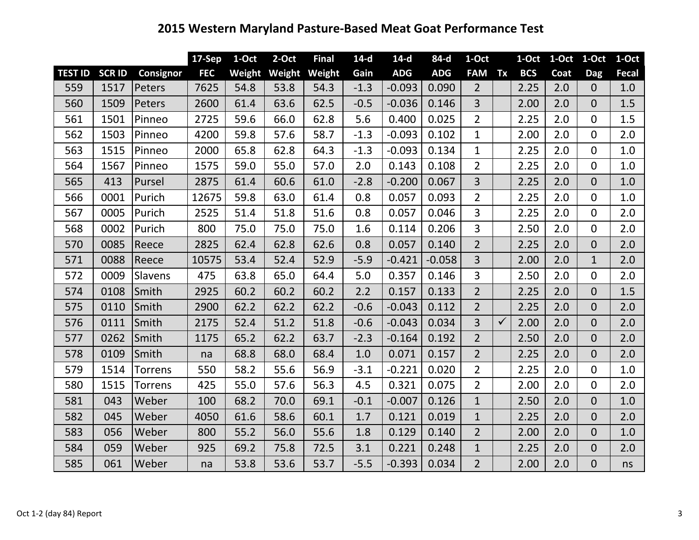## **Western Maryland Pasture‐Based Meat Goat Performance Test**

|                |               |                  | $17-Sep$   | 1-Oct  | 2-Oct  | <b>Final</b> | $14-d$ | $14-d$     | 84-d       | 1-Oct          |              | 1-Oct      |      | 1-Oct 1-Oct    | 1-Oct |
|----------------|---------------|------------------|------------|--------|--------|--------------|--------|------------|------------|----------------|--------------|------------|------|----------------|-------|
| <b>TEST ID</b> | <b>SCR ID</b> | <b>Consignor</b> | <b>FEC</b> | Weight | Weight | Weight       | Gain   | <b>ADG</b> | <b>ADG</b> | <b>FAM</b>     | Tx           | <b>BCS</b> | Coat | <b>Dag</b>     | Fecal |
| 559            | 1517          | Peters           | 7625       | 54.8   | 53.8   | 54.3         | $-1.3$ | $-0.093$   | 0.090      | $\overline{2}$ |              | 2.25       | 2.0  | $\overline{0}$ | 1.0   |
| 560            | 1509          | Peters           | 2600       | 61.4   | 63.6   | 62.5         | $-0.5$ | $-0.036$   | 0.146      | $\overline{3}$ |              | 2.00       | 2.0  | $\overline{0}$ | 1.5   |
| 561            | 1501          | Pinneo           | 2725       | 59.6   | 66.0   | 62.8         | 5.6    | 0.400      | 0.025      | $\overline{2}$ |              | 2.25       | 2.0  | $\overline{0}$ | 1.5   |
| 562            | 1503          | Pinneo           | 4200       | 59.8   | 57.6   | 58.7         | $-1.3$ | $-0.093$   | 0.102      | $\mathbf{1}$   |              | 2.00       | 2.0  | $\overline{0}$ | 2.0   |
| 563            | 1515          | Pinneo           | 2000       | 65.8   | 62.8   | 64.3         | $-1.3$ | $-0.093$   | 0.134      | $\mathbf{1}$   |              | 2.25       | 2.0  | $\mathbf 0$    | 1.0   |
| 564            | 1567          | Pinneo           | 1575       | 59.0   | 55.0   | 57.0         | 2.0    | 0.143      | 0.108      | $\overline{2}$ |              | 2.25       | 2.0  | $\mathbf 0$    | 1.0   |
| 565            | 413           | Pursel           | 2875       | 61.4   | 60.6   | 61.0         | $-2.8$ | $-0.200$   | 0.067      | $\overline{3}$ |              | 2.25       | 2.0  | $\mathbf 0$    | 1.0   |
| 566            | 0001          | Purich           | 12675      | 59.8   | 63.0   | 61.4         | 0.8    | 0.057      | 0.093      | $\overline{2}$ |              | 2.25       | 2.0  | $\overline{0}$ | 1.0   |
| 567            | 0005          | Purich           | 2525       | 51.4   | 51.8   | 51.6         | 0.8    | 0.057      | 0.046      | 3              |              | 2.25       | 2.0  | $\overline{0}$ | 2.0   |
| 568            | 0002          | Purich           | 800        | 75.0   | 75.0   | 75.0         | 1.6    | 0.114      | 0.206      | $\overline{3}$ |              | 2.50       | 2.0  | $\mathbf 0$    | 2.0   |
| 570            | 0085          | Reece            | 2825       | 62.4   | 62.8   | 62.6         | 0.8    | 0.057      | 0.140      | $\overline{2}$ |              | 2.25       | 2.0  | $\overline{0}$ | 2.0   |
| 571            | 0088          | Reece            | 10575      | 53.4   | 52.4   | 52.9         | $-5.9$ | $-0.421$   | $-0.058$   | $\overline{3}$ |              | 2.00       | 2.0  | $\mathbf{1}$   | 2.0   |
| 572            | 0009          | <b>Slavens</b>   | 475        | 63.8   | 65.0   | 64.4         | 5.0    | 0.357      | 0.146      | $\overline{3}$ |              | 2.50       | 2.0  | $\mathbf 0$    | 2.0   |
| 574            | 0108          | Smith            | 2925       | 60.2   | 60.2   | 60.2         | 2.2    | 0.157      | 0.133      | $\overline{2}$ |              | 2.25       | 2.0  | $\mathbf 0$    | 1.5   |
| 575            | 0110          | Smith            | 2900       | 62.2   | 62.2   | 62.2         | $-0.6$ | $-0.043$   | 0.112      | $\overline{2}$ |              | 2.25       | 2.0  | $\overline{0}$ | 2.0   |
| 576            | 0111          | Smith            | 2175       | 52.4   | 51.2   | 51.8         | $-0.6$ | $-0.043$   | 0.034      | 3              | $\checkmark$ | 2.00       | 2.0  | $\overline{0}$ | 2.0   |
| 577            | 0262          | Smith            | 1175       | 65.2   | 62.2   | 63.7         | $-2.3$ | $-0.164$   | 0.192      | $\overline{2}$ |              | 2.50       | 2.0  | $\mathbf 0$    | 2.0   |
| 578            | 0109          | Smith            | na         | 68.8   | 68.0   | 68.4         | 1.0    | 0.071      | 0.157      | $\overline{2}$ |              | 2.25       | 2.0  | $\overline{0}$ | 2.0   |
| 579            | 1514          | <b>Torrens</b>   | 550        | 58.2   | 55.6   | 56.9         | $-3.1$ | $-0.221$   | 0.020      | $\overline{2}$ |              | 2.25       | 2.0  | $\overline{0}$ | 1.0   |
| 580            | 1515          | <b>Torrens</b>   | 425        | 55.0   | 57.6   | 56.3         | 4.5    | 0.321      | 0.075      | $\overline{2}$ |              | 2.00       | 2.0  | $\mathbf{0}$   | 2.0   |
| 581            | 043           | Weber            | 100        | 68.2   | 70.0   | 69.1         | $-0.1$ | $-0.007$   | 0.126      | $\mathbf{1}$   |              | 2.50       | 2.0  | $\overline{0}$ | 1.0   |
| 582            | 045           | Weber            | 4050       | 61.6   | 58.6   | 60.1         | 1.7    | 0.121      | 0.019      | $\mathbf{1}$   |              | 2.25       | 2.0  | $\overline{0}$ | 2.0   |
| 583            | 056           | Weber            | 800        | 55.2   | 56.0   | 55.6         | 1.8    | 0.129      | 0.140      | $\overline{2}$ |              | 2.00       | 2.0  | $\overline{0}$ | 1.0   |
| 584            | 059           | Weber            | 925        | 69.2   | 75.8   | 72.5         | 3.1    | 0.221      | 0.248      | $\mathbf{1}$   |              | 2.25       | 2.0  | $\overline{0}$ | 2.0   |
| 585            | 061           | Weber            | na         | 53.8   | 53.6   | 53.7         | $-5.5$ | $-0.393$   | 0.034      | $\overline{2}$ |              | 2.00       | 2.0  | $\overline{0}$ | ns    |